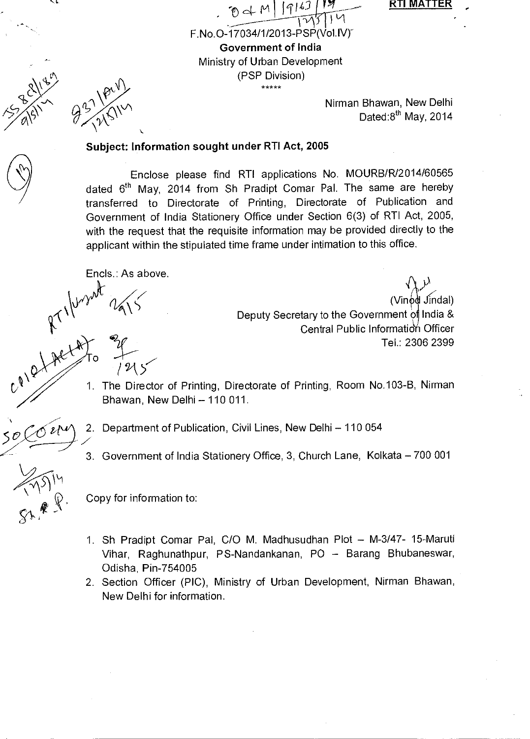RTI MATTER

F.No.0-17034/1/2013-PSP(VollV)" Government of India Ministry of Urban Development

Nirman Bhawan, New Delhi Dated: $8^{th}$  May, 2014

## Subject: Information sought under RTI Act, 2005

Enclose please find RTI applications No. MOURB/R/2014/60565 dated 6<sup>th</sup> May, 2014 from Sh Pradipt Comar Pal. The same are hereby transferred to Directorate of Printing, Directorate of Publication and Government of India Stationery Office under Section 6(3) of RTI Act, 2005, with the request that the requisite information may be provided directly to the applicant within the stipulated time frame under intimation to this office.

 $\theta$  d M | 1916]

(PSP Division)

 $\frac{1}{1}$ 

Encls.: As above.

/ 94>

(Vinod Jindal) Deputy Secretary to the Government of India & Central Public Information Officer Tel.: 2306 2399 (Vinod Jindal)<br>1. Deputy Secretary to the Government of India &<br>1. The Director of Printing, Directorate of Printing, Room No.103-B, Nirman<br>1. The Director of Printing, Directorate of Printing, Room No.103-B, Nirman

Bhawan, New Delhi — 110 011.

2. Department of Publication, Civil Lines, New Delhi — 110 054

3. Government of India Stationery Office, 3, Church Lane, Kolkata — 700 001

 $214$ 

Copy for information to:

- 1. Sh Pradipt Comar Pal, C/O M. Madhusudhan Plot M-3/47- 15-Maruti Vihar, Raghunathpur, PS-Nandankanan, PO — Barang Bhubaneswar, Odisha, Pin-754005
- 2. Section Officer (PIC), Ministry of Urban Development, Nirman Bhawan, New Delhi for information.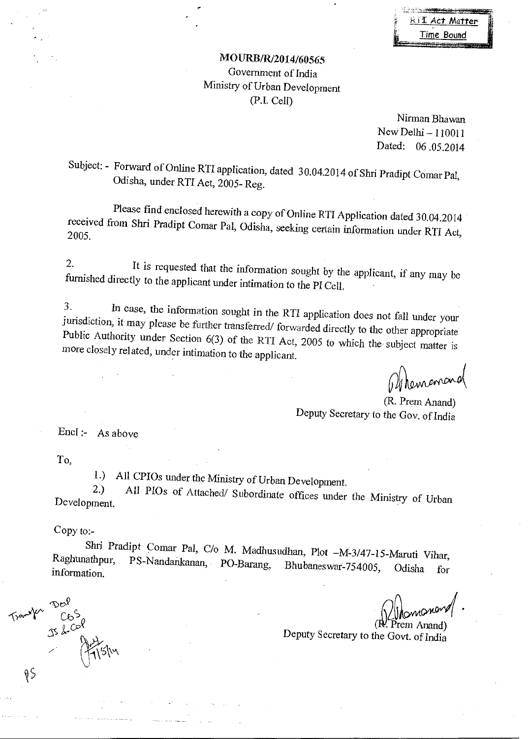|     | and the property of the country constructions and the property |
|-----|----------------------------------------------------------------|
| II. | <u>RTI</u> Act Matter                                          |
|     |                                                                |
| lŧ. | Time Bound                                                     |
|     |                                                                |

## MOURB/R/2014/60565 Government of India Ministry of Urban Development (P.I. Cell)

Nirman Bhawan Nevv Delhi — 110011 Dated: 06 .05.2014

Subject: - Forward of Online RTI application, dated 30.04.2014 of Shri Pradipt Comar Pal, Odisha, under RTI Act, 2005- Reg.

Please find enclosed herewith a copy of Online RTI Application dated 30.04.2014 received from Shri Pradipt Comar Pal, Odisha, seeking certain information under RTI Act, 2005.

2. It is requested that the information sought by the applicant, if any may be furnished directly to the applicant under intimation to the PI Cell.

3. In case, the information sought in the RTI application does not fall under your jurisdiction, it may please be further transferred/ forwarded directly to the other appropriate Public Authority under Section 6(3) of the RTI Act, 2005 to which the subject matter is more closely related, under intimation to the applicant.

Obhemanand

(R. Prem Anand) Deputy Secretary to the Gov. of India

Encl :- As above

To,

1.) All CPIOs under the Ministry of Urban Development.<br>2.) All PIOs of Attached Subordinate CC

2.) All PIOs of Attached/ Subordinate offices under the Ministry of Urban Development.

Copy to:-

 $\mathcal{D}e^{\hat{\mathcal{Y}}}$  $T$   $T^{\alpha\beta\gamma}$   $C_0$   $S_0$ 

Le.) *g Ci7* 

 $\n *θ*$ 

Shri Pradipt Comar Pal, C/o M. Madhusudhan, Plot -M-3/47-15-Maruti Vihar, Raghunathpur, PS-Nandankanan, PO-Barang, Bhubaneswar-754005, Odisha for PS-Nandankanan, PO-Barang, Bhubaneswar-754005, Odisha for information.

( Prem Anand) Deputy Secretary to the Govt. of India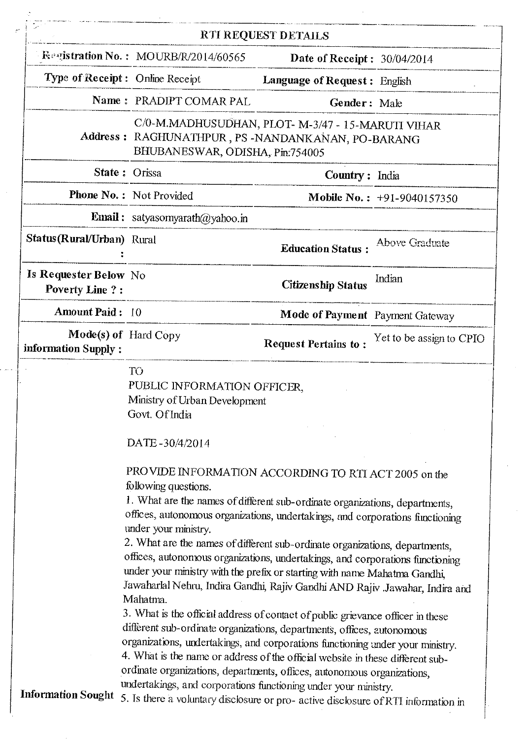|                                                  |                                                                                                                                                                                                                                                                                                                                                                                                                                                                                                                                                                                                                                                                                                                                                                                                                                                                                                  | RTI REQUEST DETAILS                 |                            |
|--------------------------------------------------|--------------------------------------------------------------------------------------------------------------------------------------------------------------------------------------------------------------------------------------------------------------------------------------------------------------------------------------------------------------------------------------------------------------------------------------------------------------------------------------------------------------------------------------------------------------------------------------------------------------------------------------------------------------------------------------------------------------------------------------------------------------------------------------------------------------------------------------------------------------------------------------------------|-------------------------------------|----------------------------|
|                                                  | Requistration No.: MOURB/R/2014/60565                                                                                                                                                                                                                                                                                                                                                                                                                                                                                                                                                                                                                                                                                                                                                                                                                                                            | Date of Receipt: $30/04/2014$       |                            |
|                                                  | Type of Receipt: Online Receipt                                                                                                                                                                                                                                                                                                                                                                                                                                                                                                                                                                                                                                                                                                                                                                                                                                                                  | <b>Language of Request: English</b> |                            |
|                                                  | Name: PRADIPT COMAR PAL                                                                                                                                                                                                                                                                                                                                                                                                                                                                                                                                                                                                                                                                                                                                                                                                                                                                          | Gender: Male                        |                            |
| Address :                                        | C/0-M.MADHUSUDHAN, PLOT- M-3/47 - 15-MARUTI VIHAR<br>RAGHUNATHPUR, PS-NANDANKANAN, PO-BARANG<br>BHUBANESWAR, ODISHA, Pin:754005                                                                                                                                                                                                                                                                                                                                                                                                                                                                                                                                                                                                                                                                                                                                                                  |                                     |                            |
|                                                  | State: Orissa                                                                                                                                                                                                                                                                                                                                                                                                                                                                                                                                                                                                                                                                                                                                                                                                                                                                                    | Country: India                      |                            |
|                                                  | Phone No.: Not Provided                                                                                                                                                                                                                                                                                                                                                                                                                                                                                                                                                                                                                                                                                                                                                                                                                                                                          |                                     | Mobile No.: +91-9040157350 |
|                                                  | <b>Email:</b> satyasomyarath $\omega$ yahoo.in                                                                                                                                                                                                                                                                                                                                                                                                                                                                                                                                                                                                                                                                                                                                                                                                                                                   |                                     |                            |
| Status(Rural/Urban) Rural                        |                                                                                                                                                                                                                                                                                                                                                                                                                                                                                                                                                                                                                                                                                                                                                                                                                                                                                                  | <b>Education Status:</b>            | Above Graduate             |
| Is Requester Below No.<br><b>Poverty Line ?:</b> |                                                                                                                                                                                                                                                                                                                                                                                                                                                                                                                                                                                                                                                                                                                                                                                                                                                                                                  | <b>Citizenship Status</b>           | Indian                     |
| <b>Amount Paid: 10</b>                           |                                                                                                                                                                                                                                                                                                                                                                                                                                                                                                                                                                                                                                                                                                                                                                                                                                                                                                  | Mode of Payment Payment Gateway     |                            |
| information Supply:                              | Mode(s) of Hard Copy                                                                                                                                                                                                                                                                                                                                                                                                                                                                                                                                                                                                                                                                                                                                                                                                                                                                             | <b>Request Pertains to:</b>         | Yet to be assign to CPIO   |
|                                                  | T <sub>O</sub><br>PUBLIC INFORMATION OFFICER,<br>Ministry of Urban Development<br>Govt. Of India<br>DATE-30/4/2014<br>PROVIDE INFORMATION ACCORDING TO RTI ACT 2005 on the<br>following questions.<br>1. What are the names of different sub-ordinate organizations, departments,<br>offices, autonomous organizations, undertakings, and corporations functioning<br>under your ministry.<br>2. What are the names of different sub-ordinate organizations, departments,<br>offices, autonomous organizations, undertakings, and corporations functioning<br>under your ministry with the prefix or starting with name Mahatma Gandhi,<br>Jawaharlal Nehru, Indira Gandhi, Rajiv Gandhi AND Rajiv .Jawahar, Indira and<br>Mahatma.<br>3. What is the official address of contact of public grievance officer in these<br>different sub-ordinate organizations, departments, offices, autonomous |                                     |                            |

 $\hat{\boldsymbol{\beta}}$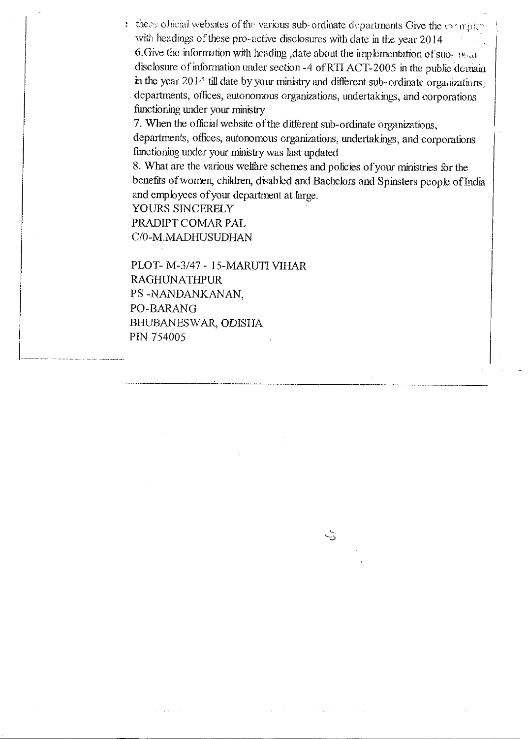$t$  these official websites of the various sub-ordinate departments Give the examples with headings of these pro-active disclosures with date in the year 2014 6. Give the information with heading, date about the implementation of suo-evaluation disclosure of information under section -4 ofRTl ACT-2005 in the public domain in the year 2014 till date by your ministry and different sub-ordinate organizations, departments, offices, autonomous organizations, undertakings, and corporations functioning under your ministry

7. When the official website of the different sub-ordinate organizations, departments, offices, autonomous organizations, undertakings, and corporations functioning under your ministry was last updated

8. What are the various welfare schemes and policies of your ministries for the benefits of women, children, disabled and Bachelors and Spinsters people of India and employees of your department at large.

 $\sqrt{3}$ 

YOURS SINCERELY PRADIPT COMAR PAL C/O-M.MADHUSUDHAN

PLOT- M-3/47 - 15-MARUTI V1HAR RAGHUNATHPUR. PS -NANDANKANAN, PO-BARANG BHUBANESWAR, ODISHA PIN 754005